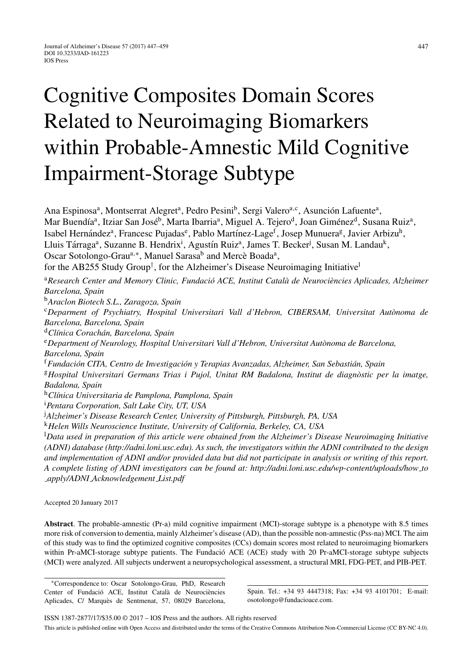# Cognitive Composites Domain Scores Related to Neuroimaging Biomarkers within Probable-Amnestic Mild Cognitive Impairment-Storage Subtype

Ana Espinosa<sup>a</sup>, Montserrat Alegret<sup>a</sup>, Pedro Pesini<sup>b</sup>, Sergi Valero<sup>a,c</sup>, Asunción Lafuente<sup>a</sup>, Mar Buendía<sup>a</sup>, Itziar San José<sup>b</sup>, Marta Ibarria<sup>a</sup>, Miguel A. Tejero<sup>d</sup>, Joan Giménez<sup>d</sup>, Susana Ruiz<sup>a</sup>, Isabel Hernández<sup>a</sup>, Francesc Pujadas<sup>e</sup>, Pablo Martínez-Lage<sup>f</sup>, Josep Munuera<sup>g</sup>, Javier Arbizu<sup>h</sup>, Lluis Tárraga<sup>a</sup>, Suzanne B. Hendrix<sup>i</sup>, Agustín Ruiz<sup>a</sup>, James T. Becker<sup>j</sup>, Susan M. Landau<sup>k</sup>, Oscar Sotolongo-Grau<sup>a,∗</sup>, Manuel Sarasa<sup>b</sup> and Mercè Boada<sup>a</sup>, for the AB255 Study Group<sup>†</sup>, for the Alzheimer's Disease Neuroimaging Initiative<sup>l</sup> <sup>a</sup>Research Center and Memory Clinic, Fundació ACE, Institut Català de Neurociències Aplicades, Alzheimer *Barcelona, Spain* <sup>b</sup>*Araclon Biotech S.L., Zaragoza, Spain* <sup>c</sup>*Deparment of Psychiatry, Hospital Universitari Vall d'Hebron, CIBERSAM, Universitat Aut `onoma de Barcelona, Barcelona, Spain* <sup>d</sup>*Cl´ınica Corach ´an, Barcelona, Spain* <sup>e</sup>*Department of Neurology, Hospital Universitari Vall d'Hebron, Universitat Aut `onoma de Barcelona, Barcelona, Spain* <sup>†</sup> Fundación CITA, Centro de Investigación y Terapias Avanzadas, Alzheimer, San Sebastián, Spain <sup>g</sup>Hospital Universitari Germans Trias i Pujol, Unitat RM Badalona, Institut de diagnòstic per la imatge, *Badalona, Spain* <sup>h</sup>*Cl´ınica Universitaria de Pamplona, Pamplona, Spain* i *Pentara Corporation, Salt Lake City, UT, USA* j *Alzheimer's Disease Research Center, University of Pittsburgh, Pittsburgh, PA, USA* <sup>k</sup>*Helen Wills Neuroscience Institute, University of California, Berkeley, CA, USA* l *Data used in preparation of this article were obtained from the Alzheimer's Disease Neuroimaging Initiative (ADNI) database (<http://adni.loni.usc.edu>). As such, the investigators within the ADNI contributed to the design and implementation of ADNI and/or provided data but did not participate in analysis or writing of this report. A complete listing of ADNI investigators can be found at: [http://adni.loni.usc.edu/wp-content/uploads/how](http://adni.loni.usc.edu/wp-content/uploads/how_to_apply/ADNI_Acknowledgement_List.pdf) to*

*apply/ADNI [Acknowledgement](http://adni.loni.usc.edu/wp-content/uploads/how_to_apply/ADNI_Acknowledgement_List.pdf) List.pdf*

Accepted 20 January 2017

**Abstract**. The probable-amnestic (Pr-a) mild cognitive impairment (MCI)-storage subtype is a phenotype with 8.5 times more risk of conversion to dementia, mainly Alzheimer's disease (AD), than the possible non-amnestic (Pss-na) MCI. The aim of this study was to find the optimized cognitive composites (CCs) domain scores most related to neuroimaging biomarkers within Pr-aMCI-storage subtype patients. The Fundació ACE (ACE) study with 20 Pr-aMCI-storage subtype subjects (MCI) were analyzed. All subjects underwent a neuropsychological assessment, a structural MRI, FDG-PET, and PIB-PET.

∗Correspondence to: Oscar Sotolongo-Grau, PhD, Research Center of Fundació ACE, Institut Català de Neurociències Aplicades, C/ Marquès de Sentmenat, 57, 08029 Barcelona,

Spain. Tel.: +34 93 4447318; Fax: +34 93 4101701; E-mail: [osotolongo@fundacioace.com.](mailto:osotolongo@fundacioace.com)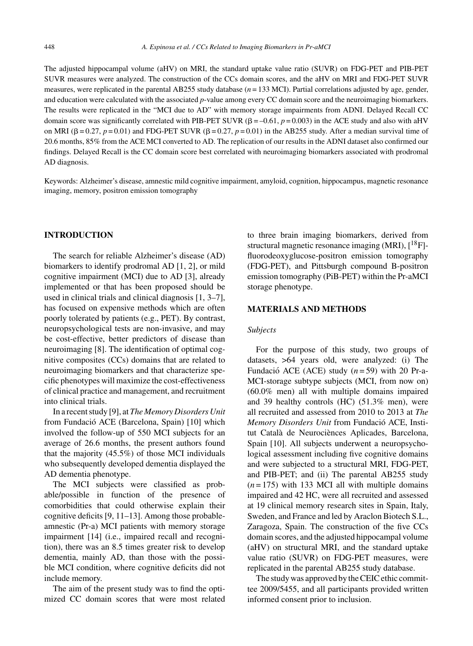The adjusted hippocampal volume (aHV) on MRI, the standard uptake value ratio (SUVR) on FDG-PET and PIB-PET SUVR measures were analyzed. The construction of the CCs domain scores, and the aHV on MRI and FDG-PET SUVR measures, were replicated in the parental AB255 study database (*n* = 133 MCI). Partial correlations adjusted by age, gender, and education were calculated with the associated *p*-value among every CC domain score and the neuroimaging biomarkers. The results were replicated in the "MCI due to AD" with memory storage impairments from ADNI. Delayed Recall CC domain score was significantly correlated with PIB-PET SUVR  $(\beta = -0.61, p = 0.003)$  in the ACE study and also with aHV on MRI ( $\beta = 0.27$ ,  $p = 0.01$ ) and FDG-PET SUVR ( $\beta = 0.27$ ,  $p = 0.01$ ) in the AB255 study. After a median survival time of 20.6 months, 85% from the ACE MCI converted to AD. The replication of our results in the ADNI dataset also confirmed our findings. Delayed Recall is the CC domain score best correlated with neuroimaging biomarkers associated with prodromal AD diagnosis.

Keywords: Alzheimer's disease, amnestic mild cognitive impairment, amyloid, cognition, hippocampus, magnetic resonance imaging, memory, positron emission tomography

## **INTRODUCTION**

The search for reliable Alzheimer's disease (AD) biomarkers to identify prodromal AD [1, 2], or mild cognitive impairment (MCI) due to AD [3], already implemented or that has been proposed should be used in clinical trials and clinical diagnosis [1, 3–7], has focused on expensive methods which are often poorly tolerated by patients (e.g., PET). By contrast, neuropsychological tests are non-invasive, and may be cost-effective, better predictors of disease than neuroimaging [8]. The identification of optimal cognitive composites (CCs) domains that are related to neuroimaging biomarkers and that characterize specific phenotypes will maximize the cost-effectiveness of clinical practice and management, and recruitment into clinical trials.

In a recent study [9], at *The Memory Disorders Unit* from Fundació ACE (Barcelona, Spain) [10] which involved the follow-up of 550 MCI subjects for an average of 26.6 months, the present authors found that the majority (45.5%) of those MCI individuals who subsequently developed dementia displayed the AD dementia phenotype.

The MCI subjects were classified as probable/possible in function of the presence of comorbidities that could otherwise explain their cognitive deficits [9, 11–13]. Among those probableamnestic (Pr-a) MCI patients with memory storage impairment [14] (i.e., impaired recall and recognition), there was an 8.5 times greater risk to develop dementia, mainly AD, than those with the possible MCI condition, where cognitive deficits did not include memory.

The aim of the present study was to find the optimized CC domain scores that were most related to three brain imaging biomarkers, derived from structural magnetic resonance imaging (MRI),  $\binom{18}{1}$ fluorodeoxyglucose-positron emission tomography (FDG-PET), and Pittsburgh compound B-positron emission tomography (PiB-PET) within the Pr-aMCI storage phenotype.

## **MATERIALS AND METHODS**

## *Subjects*

For the purpose of this study, two groups of datasets, >64 years old, were analyzed: (i) The Fundació ACE (ACE) study  $(n = 59)$  with 20 Pr-a-MCI-storage subtype subjects (MCI, from now on) (60.0% men) all with multiple domains impaired and 39 healthy controls (HC) (51.3% men), were all recruited and assessed from 2010 to 2013 at *The Memory Disorders Unit* from Fundacio ACE, Insti- ´ tut Català de Neurociènces Aplicades, Barcelona, Spain [10]. All subjects underwent a neuropsychological assessment including five cognitive domains and were subjected to a structural MRI, FDG-PET, and PIB-PET; and (ii) The parental AB255 study  $(n=175)$  with 133 MCI all with multiple domains impaired and 42 HC, were all recruited and assessed at 19 clinical memory research sites in Spain, Italy, Sweden, and France and led by Araclon Biotech S.L., Zaragoza, Spain. The construction of the five CCs domain scores, and the adjusted hippocampal volume (aHV) on structural MRI, and the standard uptake value ratio (SUVR) on FDG-PET measures, were replicated in the parental AB255 study database.

The study was approved by the CEIC ethic committee 2009/5455, and all participants provided written informed consent prior to inclusion.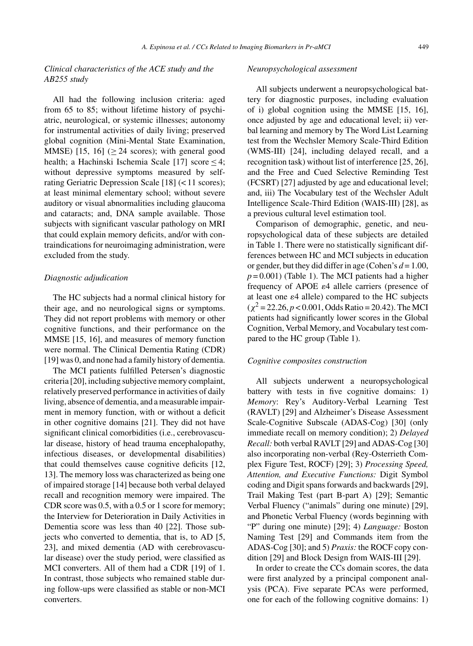## *Clinical characteristics of the ACE study and the AB255 study*

All had the following inclusion criteria: aged from 65 to 85; without lifetime history of psychiatric, neurological, or systemic illnesses; autonomy for instrumental activities of daily living; preserved global cognition (Mini-Mental State Examination, MMSE)  $[15, 16]$  ( $> 24$  scores); with general good health; a Hachinski Ischemia Scale [17] score  $\leq 4$ ; without depressive symptoms measured by selfrating Geriatric Depression Scale [18] (< 11 scores); at least minimal elementary school; without severe auditory or visual abnormalities including glaucoma and cataracts; and, DNA sample available. Those subjects with significant vascular pathology on MRI that could explain memory deficits, and/or with contraindications for neuroimaging administration, were excluded from the study.

#### *Diagnostic adjudication*

The HC subjects had a normal clinical history for their age, and no neurological signs or symptoms. They did not report problems with memory or other cognitive functions, and their performance on the MMSE [15, 16], and measures of memory function were normal. The Clinical Dementia Rating (CDR) [19] was 0, and none had a family history of dementia.

The MCI patients fulfilled Petersen's diagnostic criteria [20], including subjective memory complaint, relatively preserved performance in activities of daily living, absence of dementia, and a measurable impairment in memory function, with or without a deficit in other cognitive domains [21]. They did not have significant clinical comorbidities (i.e., cerebrovascular disease, history of head trauma encephalopathy, infectious diseases, or developmental disabilities) that could themselves cause cognitive deficits [12, 13]. The memory loss was characterized as being one of impaired storage [14] because both verbal delayed recall and recognition memory were impaired. The CDR score was 0.5, with a 0.5 or 1 score for memory; the Interview for Deterioration in Daily Activities in Dementia score was less than 40 [22]. Those subjects who converted to dementia, that is, to AD [5, 23], and mixed dementia (AD with cerebrovascular disease) over the study period, were classified as MCI converters. All of them had a CDR [19] of 1. In contrast, those subjects who remained stable during follow-ups were classified as stable or non-MCI converters.

#### *Neuropsychological assessment*

All subjects underwent a neuropsychological battery for diagnostic purposes, including evaluation of i) global cognition using the MMSE [15, 16], once adjusted by age and educational level; ii) verbal learning and memory by The Word List Learning test from the Wechsler Memory Scale-Third Edition (WMS-III) [24], including delayed recall, and a recognition task) without list of interference [25, 26], and the Free and Cued Selective Reminding Test (FCSRT) [27] adjusted by age and educational level; and, iii) The Vocabulary test of the Wechsler Adult Intelligence Scale-Third Edition (WAIS-III) [28], as a previous cultural level estimation tool.

Comparison of demographic, genetic, and neuropsychological data of these subjects are detailed in Table 1. There were no statistically significant differences between HC and MCI subjects in education or gender, but they did differ in age (Cohen's *d* = 1.00,  $p = 0.001$ ) (Table 1). The MCI patients had a higher frequency of APOE  $\varepsilon$ 4 allele carriers (presence of at least one  $\varepsilon$ 4 allele) compared to the HC subjects  $(\chi^2 = 22.26, p < 0.001,$  Odds Ratio = 20.42). The MCI patients had significantly lower scores in the Global Cognition, Verbal Memory, and Vocabulary test compared to the HC group (Table 1).

#### *Cognitive composites construction*

All subjects underwent a neuropsychological battery with tests in five cognitive domains: 1) *Memory*: Rey's Auditory-Verbal Learning Test (RAVLT) [29] and Alzheimer's Disease Assessment Scale-Cognitive Subscale (ADAS-Cog) [30] (only immediate recall on memory condition); 2) *Delayed Recall:* both verbal RAVLT [29] and ADAS-Cog [30] also incorporating non-verbal (Rey-Osterrieth Complex Figure Test, ROCF) [29]; 3) *Processing Speed, Attention, and Executive Functions:* Digit Symbol coding and Digit spans forwards and backwards [29], Trail Making Test (part B-part A) [29]; Semantic Verbal Fluency ("animals" during one minute) [29], and Phonetic Verbal Fluency (words beginning with "P" during one minute) [29]; 4) *Language:* Boston Naming Test [29] and Commands item from the ADAS-Cog [30]; and 5) *Praxis:* the ROCF copy condition [29] and Block Design from WAIS-III [29].

In order to create the CCs domain scores, the data were first analyzed by a principal component analysis (PCA). Five separate PCAs were performed, one for each of the following cognitive domains: 1)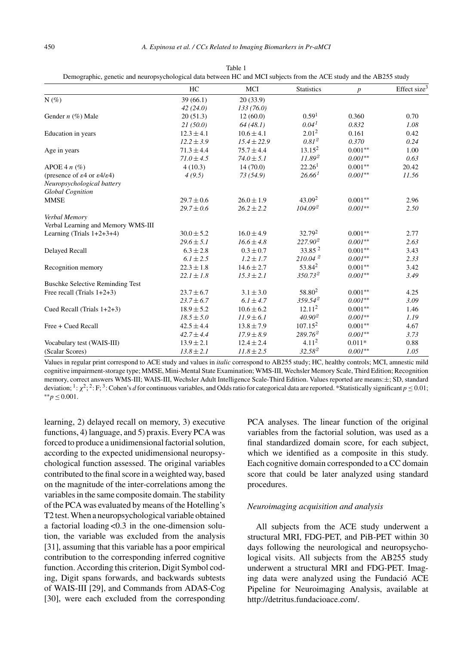|                                                                   | HC             | MCI             | <b>Statistics</b>   | p         | Effect size <sup>3</sup> |
|-------------------------------------------------------------------|----------------|-----------------|---------------------|-----------|--------------------------|
| $N(\%)$                                                           | 39(66.1)       | 20(33.9)        |                     |           |                          |
|                                                                   | 42(24.0)       | 133(76.0)       |                     |           |                          |
| Gender $n$ (%) Male                                               | 20(51.3)       | 12(60.0)        | 0.59 <sup>1</sup>   | 0.360     | 0.70                     |
|                                                                   | 21(50.0)       | 64(48.1)        | $0.04^{1}$          | 0.832     | 1.08                     |
| Education in years                                                | $12.3 \pm 4.1$ | $10.6 \pm 4.1$  | 2.01 <sup>2</sup>   | 0.161     | 0.42                     |
|                                                                   | $12.2 \pm 3.9$ | $15.4 \pm 22.9$ | $0.81^{2}$          | 0.370     | 0.24                     |
| Age in years                                                      | $71.3 \pm 4.4$ | $75.7 \pm 4.4$  | $13.15^2$           | $0.001**$ | 1.00                     |
|                                                                   | $71.0 \pm 4.5$ | $74.0 \pm 5.1$  | $11.89^{2}$         | $0.001**$ | 0.63                     |
| APOE 4 $n$ (%)                                                    | 4(10.3)        | 14(70.0)        | 22.26 <sup>1</sup>  | $0.001**$ | 20.42                    |
| (presence of $\varepsilon$ 4 or $\varepsilon$ 4/ $\varepsilon$ 4) | 4(9.5)         | 73(54.9)        | $26.66^{1}$         | $0.001**$ | 11.56                    |
| Neuropsychological battery                                        |                |                 |                     |           |                          |
| <b>Global Cognition</b>                                           |                |                 |                     |           |                          |
| <b>MMSE</b>                                                       | $29.7 \pm 0.6$ | $26.0 \pm 1.9$  | $43.09^{2}$         | $0.001**$ | 2.96                     |
|                                                                   | $29.7 \pm 0.6$ | $26.2 \pm 2.2$  | $104.09^{2}$        | $0.001**$ | 2.50                     |
| Verbal Memory                                                     |                |                 |                     |           |                          |
| Verbal Learning and Memory WMS-III                                |                |                 |                     |           |                          |
| Learning (Trials $1+2+3+4$ )                                      | $30.0 \pm 5.2$ | $16.0 \pm 4.9$  | $32.79^2$           | $0.001**$ | 2.77                     |
|                                                                   | $29.6 \pm 5.1$ | $16.6 \pm 4.8$  | 227.90 <sup>2</sup> | $0.001**$ | 2.63                     |
| Delayed Recall                                                    | $6.3 \pm 2.8$  | $0.3 \pm 0.7$   | 33.85 <sup>2</sup>  | $0.001**$ | 3.43                     |
|                                                                   | $6.1 \pm 2.5$  | $1.2 \pm 1.7$   | $210.04^{2}$        | $0.001**$ | 2.33                     |
| Recognition memory                                                | $22.3 \pm 1.8$ | $14.6 \pm 2.7$  | $53.84^2$           | $0.001**$ | 3.42                     |
|                                                                   | $22.1 \pm 1.8$ | $15.3 \pm 2.1$  | $350.73^{2}$        | $0.001**$ | 3.49                     |
| <b>Buschke Selective Reminding Test</b>                           |                |                 |                     |           |                          |
| Free recall (Trials $1+2+3$ )                                     | $23.7 \pm 6.7$ | $3.1 \pm 3.0$   | 58.80 <sup>2</sup>  | $0.001**$ | 4.25                     |
|                                                                   | $23.7 \pm 6.7$ | $6.1 \pm 4.7$   | $359.54^{\circ}$    | $0.001**$ | 3.09                     |
| Cued Recall (Trials 1+2+3)                                        | $18.9 \pm 5.2$ | $10.6 \pm 6.2$  | 12.11 <sup>2</sup>  | $0.001**$ | 1.46                     |
|                                                                   | $18.5 \pm 5.0$ | $11.9 \pm 6.1$  | $40.90^{2}$         | $0.001**$ | 1.19                     |
| Free + Cued Recall                                                | $42.5 \pm 4.4$ | $13.8 \pm 7.9$  | $107.15^2$          | $0.001**$ | 4.67                     |
|                                                                   | $42.7 \pm 4.4$ | $17.9 \pm 8.9$  | $289.76^2$          | $0.001**$ | 3.73                     |
| Vocabulary test (WAIS-III)                                        | $13.9 \pm 2.1$ | $12.4 \pm 2.4$  | 4.11 <sup>2</sup>   | $0.011*$  | 0.88                     |
| (Scalar Scores)                                                   | $13.8 \pm 2.1$ | $11.8 \pm 2.5$  | 32.58 <sup>2</sup>  | $0.001**$ | 1.05                     |

Table 1 Demographic, genetic and neuropsychological data between HC and MCI subjects from the ACE study and the AB255 study

Values in regular print correspond to ACE study and values in *italic* correspond to AB255 study; HC, healthy controls; MCI, amnestic mild cognitive impairment-storage type; MMSE, Mini-Mental State Examination; WMS-III, Wechsler Memory Scale, Third Edition; Recognition memory, correct answers WMS-III; WAIS-III, Wechsler Adult Intelligence Scale-Third Edition. Values reported are means:±; SD, standard deviation; <sup>1</sup>:  $\chi^2$ ; 2: F; <sup>3</sup>: Cohen's *d* for continuous variables, and Odds ratio for categorical data are reported. \*Statistically significant *p* ≤ 0.01; ∗∗*p* ≤ 0.001.

learning, 2) delayed recall on memory, 3) executive functions, 4) language, and 5) praxis. Every PCA was forced to produce a unidimensional factorial solution, according to the expected unidimensional neuropsychological function assessed. The original variables contributed to the final score in a weighted way, based on the magnitude of the inter-correlations among the variables in the same composite domain. The stability of the PCA was evaluated by means of the Hotelling's T2 test. When a neuropsychological variable obtained a factorial loading <0.3 in the one-dimension solution, the variable was excluded from the analysis [31], assuming that this variable has a poor empirical contribution to the corresponding inferred cognitive function. According this criterion, Digit Symbol coding, Digit spans forwards, and backwards subtests of WAIS-III [29], and Commands from ADAS-Cog [30], were each excluded from the corresponding

PCA analyses. The linear function of the original variables from the factorial solution, was used as a final standardized domain score, for each subject, which we identified as a composite in this study. Each cognitive domain corresponded to a CC domain score that could be later analyzed using standard procedures.

#### *Neuroimaging acquisition and analysis*

All subjects from the ACE study underwent a structural MRI, FDG-PET, and PiB-PET within 30 days following the neurological and neuropsychological visits. All subjects from the AB255 study underwent a structural MRI and FDG-PET. Imaging data were analyzed using the Fundació ACE Pipeline for Neuroimaging Analysis, available at [http://detritus.fundacioace.com/.](http://detritus.fundacioace.com/)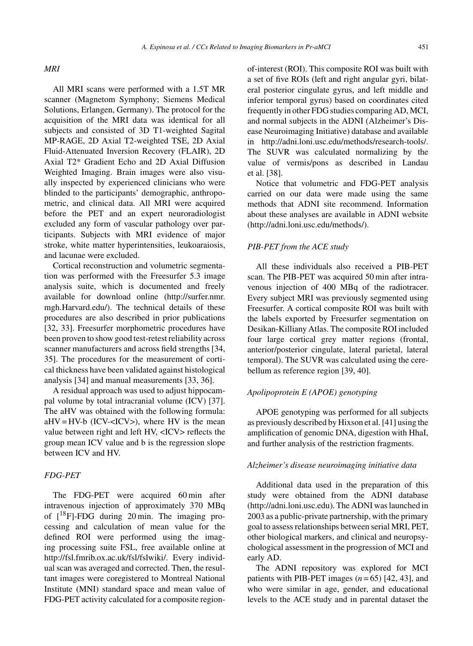All MRI scans were performed with a 1.5T MR scanner (Magnetom Symphony; Siemens Medical Solutions, Erlangen, Germany). The protocol for the acquisition of the MRI data was identical for all subjects and consisted of 3D T1-weighted Sagital MP-RAGE, 2D Axial T2-weighted TSE, 2D Axial Fluid-Attenuated Inversion Recovery (FLAIR), 2D Axial T2\* Gradient Echo and 2D Axial Diffusion Weighted Imaging. Brain images were also visually inspected by experienced clinicians who were blinded to the participants' demographic, anthropometric, and clinical data. All MRI were acquired before the PET and an expert neuroradiologist excluded any form of vascular pathology over participants. Subjects with MRI evidence of major stroke, white matter hyperintensities, leukoaraiosis, and lacunae were excluded.

Cortical reconstruction and volumetric segmentation was performed with the Freesurfer 5.3 image analysis suite, which is documented and freely available for download online [\(http://surfer.nmr.](http://surfer.nmr.mgh.Harvard.edu/) [mgh.Harvard.edu/](http://surfer.nmr.mgh.Harvard.edu/)). The technical details of these procedures are also described in prior publications [32, 33]. Freesurfer morphometric procedures have been proven to show good test-retest reliability across scanner manufacturers and across field strengths [34, 35]. The procedures for the measurement of cortical thickness have been validated against histological analysis [34] and manual measurements [33, 36].

A residual approach was used to adjust hippocampal volume by total intracranial volume (ICV) [37]. The aHV was obtained with the following formula:  $a$ HV = HV-b (ICV-<ICV>), where HV is the mean value between right and left HV, <ICV> reflects the group mean ICV value and b is the regression slope between ICV and HV.

## *FDG-PET*

The FDG-PET were acquired 60 min after intravenous injection of approximately 370 MBq of  $[18F]$ -FDG during 20 min. The imaging processing and calculation of mean value for the defined ROI were performed using the imaging processing suite FSL, free available online at <http://fsl.fmrib.ox.ac.uk/fsl/fslwiki/>. Every individual scan was averaged and corrected. Then, the resultant images were coregistered to Montreal National Institute (MNI) standard space and mean value of FDG-PET activity calculated for a composite regionof-interest (ROI). This composite ROI was built with a set of five ROIs (left and right angular gyri, bilateral posterior cingulate gyrus, and left middle and inferior temporal gyrus) based on coordinates cited frequently in other FDG studies comparing AD, MCI, and normal subjects in the ADNI (Alzheimer's Disease Neuroimaging Initiative) database and available

in [http://adni.loni.usc.edu/methods/research-tools/.](http://adni.loni.usc.edu/methods/research-tools/) The SUVR was calculated normalizing by the value of vermis/pons as described in Landau et al. [38].

Notice that volumetric and FDG-PET analysis carried on our data were made using the same methods that ADNI site recommend. Information about these analyses are available in ADNI website [\(http://adni.loni.usc.edu/methods/](http://adni.loni.usc.edu/methods/)).

## *PIB-PET from the ACE study*

All these individuals also received a PIB-PET scan. The PIB-PET was acquired 50 min after intravenous injection of 400 MBq of the radiotracer. Every subject MRI was previously segmented using Freesurfer. A cortical composite ROI was built with the labels exported by Freesurfer segmentation on Desikan-Killiany Atlas. The composite ROI included four large cortical grey matter regions (frontal, anterior/posterior cingulate, lateral parietal, lateral temporal). The SUVR was calculated using the cerebellum as reference region [39, 40].

## *Apolipoprotein E (APOE) genotyping*

APOE genotyping was performed for all subjects as previously described by Hixson et al. [41] using the amplification of genomic DNA, digestion with HhaI, and further analysis of the restriction fragments.

## *Alzheimer's disease neuroimaging initiative data*

Additional data used in the preparation of this study were obtained from the ADNI database [\(http://adni.loni.usc.edu\)](http://adni.loni.usc.edu). The ADNI was launched in 2003 as a public-private partnership, with the primary goal to assess relationships between serial MRI, PET, other biological markers, and clinical and neuropsychological assessment in the progression of MCI and early AD.

The ADNI repository was explored for MCI patients with PIB-PET images  $(n=65)$  [42, 43], and who were similar in age, gender, and educational levels to the ACE study and in parental dataset the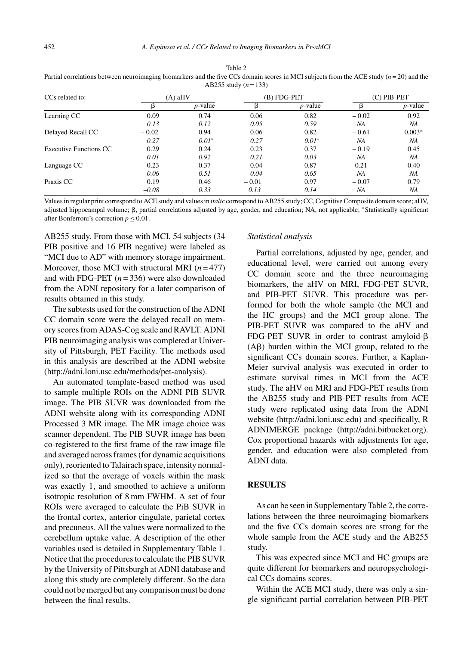| CCs related to:        | $(A)$ aHV |            | $(B) FDG-PET$ |            | $(C)$ PIB-PET |                 |
|------------------------|-----------|------------|---------------|------------|---------------|-----------------|
|                        |           | $p$ -value |               | $p$ -value |               | <i>p</i> -value |
| Learning CC            | 0.09      | 0.74       | 0.06          | 0.82       | $-0.02$       | 0.92            |
|                        | 0.13      | 0.12       | 0.05          | 0.59       | NA            | NA              |
| Delayed Recall CC      | $-0.02$   | 0.94       | 0.06          | 0.82       | $-0.61$       | $0.003*$        |
|                        | 0.27      | $0.01*$    | 0.27          | $0.01*$    | NA            | NA              |
| Executive Functions CC | 0.29      | 0.24       | 0.23          | 0.37       | $-0.19$       | 0.45            |
|                        | 0.01      | 0.92       | 0.21          | 0.03       | NA            | NA              |
| Language CC            | 0.23      | 0.37       | $-0.04$       | 0.87       | 0.21          | 0.40            |
|                        | 0.06      | 0.51       | 0.04          | 0.65       | NA            | NA              |
| Praxis CC              | 0.19      | 0.46       | $-0.01$       | 0.97       | $-0.07$       | 0.79            |
|                        | $-0.08$   | 0.33       | 0.13          | 0.14       | NA            | NA              |

Table 2 Partial correlations between neuroimaging biomarkers and the five CCs domain scores in MCI subjects from the ACE study (*n* = 20) and the AB255 study (*n* = 133)

Values in regular print correspond to ACE study and values in *italic* correspond to AB255 study; CC, Cognitive Composite domain score; aHV, adjusted hippocampal volume; β, partial correlations adjusted by age, gender, and education; NA, not applicable; \*Statistically significant after Bonferroni's correction  $p \leq 0.01$ .

AB255 study. From those with MCI, 54 subjects (34 PIB positive and 16 PIB negative) were labeled as "MCI due to AD" with memory storage impairment. Moreover, those MCI with structural MRI (*n* = 477) and with FDG-PET (*n* = 336) were also downloaded from the ADNI repository for a later comparison of results obtained in this study.

The subtests used for the construction of the ADNI CC domain score were the delayed recall on memory scores from ADAS-Cog scale and RAVLT. ADNI PIB neuroimaging analysis was completed at University of Pittsburgh, PET Facility. The methods used in this analysis are described at the ADNI website [\(http://adni.loni.usc.edu/methods/pet-analysis\)](http://adni.loni.usc.edu/methods/pet-analysis).

An automated template-based method was used to sample multiple ROIs on the ADNI PIB SUVR image. The PIB SUVR was downloaded from the ADNI website along with its corresponding ADNI Processed 3 MR image. The MR image choice was scanner dependent. The PIB SUVR image has been co-registered to the first frame of the raw image file and averaged across frames (for dynamic acquisitions only), reoriented to Talairach space, intensity normalized so that the average of voxels within the mask was exactly 1, and smoothed to achieve a uniform isotropic resolution of 8 mm FWHM. A set of four ROIs were averaged to calculate the PiB SUVR in the frontal cortex, anterior cingulate, parietal cortex and precuneus. All the values were normalized to the cerebellum uptake value. A description of the other variables used is detailed in Supplementary Table 1. Notice that the procedures to calculate the PIB SUVR by the University of Pittsburgh at ADNI database and along this study are completely different. So the data could not be merged but any comparison must be done between the final results.

#### *Statistical analysis*

Partial correlations, adjusted by age, gender, and educational level, were carried out among every CC domain score and the three neuroimaging biomarkers, the aHV on MRI, FDG-PET SUVR, and PIB-PET SUVR. This procedure was performed for both the whole sample (the MCI and the HC groups) and the MCI group alone. The PIB-PET SUVR was compared to the aHV and FDG-PET SUVR in order to contrast amyloid- $\beta$  $(A\beta)$  burden within the MCI group, related to the significant CCs domain scores. Further, a Kaplan-Meier survival analysis was executed in order to estimate survival times in MCI from the ACE study. The aHV on MRI and FDG-PET results from the AB255 study and PIB-PET results from ACE study were replicated using data from the ADNI website [\(http://adni.loni.usc.edu](http://adni.loni.usc.edu)) and specifically, R ADNIMERGE package (<http://adni.bitbucket.org>). Cox proportional hazards with adjustments for age, gender, and education were also completed from ADNI data.

## **RESULTS**

As can be seen in Supplementary Table 2, the correlations between the three neuroimaging biomarkers and the five CCs domain scores are strong for the whole sample from the ACE study and the AB255 study.

This was expected since MCI and HC groups are quite different for biomarkers and neuropsychological CCs domains scores.

Within the ACE MCI study, there was only a single significant partial correlation between PIB-PET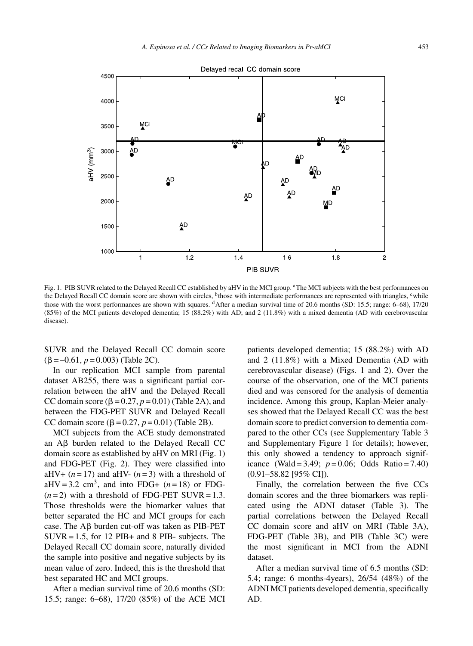

Fig. 1. PIB SUVR related to the Delayed Recall CC established by aHV in the MCI group. <sup>a</sup>The MCI subjects with the best performances on the Delayed Recall CC domain score are shown with circles, <sup>b</sup>those with intermediate performances are represented with triangles, <sup>c</sup>while those with the worst performances are shown with squares. <sup>d</sup>After a median survival time of 20.6 months (SD: 15.5; range: 6–68), 17/20 (85%) of the MCI patients developed dementia; 15 (88.2%) with AD; and 2 (11.8%) with a mixed dementia (AD with cerebrovascular disease).

SUVR and the Delayed Recall CC domain score  $(\beta = -0.61, p = 0.003)$  (Table 2C).

In our replication MCI sample from parental dataset AB255, there was a significant partial correlation between the aHV and the Delayed Recall CC domain score  $(\beta = 0.27, p = 0.01)$  (Table 2A), and between the FDG-PET SUVR and Delayed Recall CC domain score  $(\beta = 0.27, p = 0.01)$  (Table 2B).

MCI subjects from the ACE study demonstrated an  $\overrightarrow{AB}$  burden related to the Delayed Recall CC domain score as established by aHV on MRI (Fig. 1) and FDG-PET (Fig. 2). They were classified into aHV+  $(n=17)$  and aHV-  $(n=3)$  with a threshold of aHV = 3.2 cm<sup>3</sup>, and into FDG+  $(n=18)$  or FDG- $(n=2)$  with a threshold of FDG-PET SUVR = 1.3. Those thresholds were the biomarker values that better separated the HC and MCI groups for each case. The  $\mathsf{A}\beta$  burden cut-off was taken as PIB-PET  $SUVR = 1.5$ , for 12 PIB+ and 8 PIB- subjects. The Delayed Recall CC domain score, naturally divided the sample into positive and negative subjects by its mean value of zero. Indeed, this is the threshold that best separated HC and MCI groups.

After a median survival time of 20.6 months (SD: 15.5; range: 6–68), 17/20 (85%) of the ACE MCI patients developed dementia; 15 (88.2%) with AD and 2 (11.8%) with a Mixed Dementia (AD with cerebrovascular disease) (Figs. 1 and 2). Over the course of the observation, one of the MCI patients died and was censored for the analysis of dementia incidence. Among this group, Kaplan-Meier analyses showed that the Delayed Recall CC was the best domain score to predict conversion to dementia compared to the other CCs (see Supplementary Table 3 and Supplementary Figure 1 for details); however, this only showed a tendency to approach significance (Wald = 3.49;  $p = 0.06$ ; Odds Ratio = 7.40) (0.91–58.82 [95% CI]).

Finally, the correlation between the five CCs domain scores and the three biomarkers was replicated using the ADNI dataset (Table 3). The partial correlations between the Delayed Recall CC domain score and aHV on MRI (Table 3A), FDG-PET (Table 3B), and PIB (Table 3C) were the most significant in MCI from the ADNI dataset.

After a median survival time of 6.5 months (SD: 5.4; range: 6 months-4years), 26/54 (48%) of the ADNI MCI patients developed dementia, specifically AD.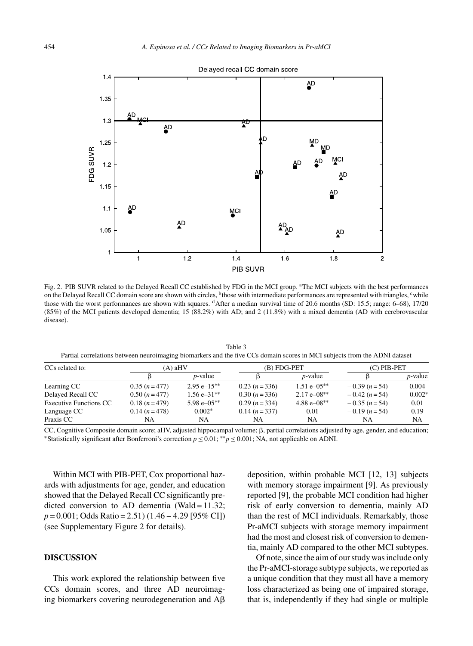

Fig. 2. PIB SUVR related to the Delayed Recall CC established by FDG in the MCI group. <sup>a</sup>The MCI subjects with the best performances on the Delayed Recall CC domain score are shown with circles, <sup>b</sup>those with intermediate performances are represented with triangles, <sup>c</sup>while those with the worst performances are shown with squares. <sup>d</sup>After a median survival time of 20.6 months (SD: 15.5; range: 6–68), 17/20 (85%) of the MCI patients developed dementia; 15 (88.2%) with AD; and 2 (11.8%) with a mixed dementia (AD with cerebrovascular disease).

Table 3 Partial correlations between neuroimaging biomarkers and the five CCs domain scores in MCI subjects from the ADNI dataset

| CCs related to:               | (A) aHV       |                  | (B) FDG-PET   |                            | $(C)$ PIB-PET |                 |
|-------------------------------|---------------|------------------|---------------|----------------------------|---------------|-----------------|
|                               |               | <i>p</i> -value  |               | <i>p</i> -value            |               | <i>p</i> -value |
| Learning CC                   | $0.35(n=477)$ | $2.95 e-15**$    | $0.23(n=336)$ | $1.51 e^{-0.5**}$          | $-0.39(n=54)$ | 0.004           |
| Delayed Recall CC             | $0.50(n=477)$ | $1.56e - 31**$   | $0.30(n=336)$ | $2.17 e^{-0.08**}$         | $-0.42(n=54)$ | $0.002*$        |
| <b>Executive Functions CC</b> | $0.18(n=479)$ | $5.98 e - 0.5**$ | $0.29(n=334)$ | 4.88 $e$ –08 <sup>**</sup> | $-0.35(n=54)$ | 0.01            |
| Language CC                   | $0.14(n=478)$ | $0.002*$         | $0.14(n=337)$ | 0.01                       | $-0.19(n=54)$ | 0.19            |
| Praxis CC                     | NA            | NA               | NA            | NA                         | NA            | NA              |

CC, Cognitive Composite domain score; aHV, adjusted hippocampal volume;  $\beta$ , partial correlations adjusted by age, gender, and education; \*Statistically significant after Bonferroni's correction  $p \le 0.01$ ; \*\* $p \le 0.001$ ; NA, not applicable on ADNI.

Within MCI with PIB-PET, Cox proportional hazards with adjustments for age, gender, and education showed that the Delayed Recall CC significantly predicted conversion to AD dementia (Wald =  $11.32$ ; *p* = 0.001; Odds Ratio = 2.51) (1.46 – 4.29 [95% CI]) (see Supplementary Figure 2 for details).

## **DISCUSSION**

This work explored the relationship between five CCs domain scores, and three AD neuroimaging biomarkers covering neurodegeneration and  $A\beta$  deposition, within probable MCI [12, 13] subjects with memory storage impairment [9]. As previously reported [9], the probable MCI condition had higher risk of early conversion to dementia, mainly AD than the rest of MCI individuals. Remarkably, those Pr-aMCI subjects with storage memory impairment had the most and closest risk of conversion to dementia, mainly AD compared to the other MCI subtypes.

Of note, since the aim of our study was include only the Pr-aMCI-storage subtype subjects, we reported as a unique condition that they must all have a memory loss characterized as being one of impaired storage, that is, independently if they had single or multiple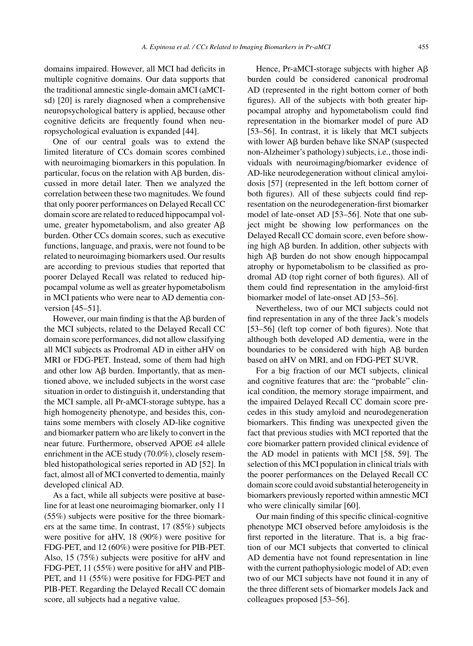domains impaired. However, all MCI had deficits in multiple cognitive domains. Our data supports that the traditional amnestic single-domain aMCI (aMCIsd) [20] is rarely diagnosed when a comprehensive neuropsychological battery is applied, because other cognitive deficits are frequently found when neuropsychological evaluation is expanded [44].

One of our central goals was to extend the limited literature of CCs domain scores combined with neuroimaging biomarkers in this population. In particular, focus on the relation with  $\text{A}\beta$  burden, discussed in more detail later. Then we analyzed the correlation between these two magnitudes. We found that only poorer performances on Delayed Recall CC domain score are related to reduced hippocampal volume, greater hypometabolism, and also greater  $A\beta$ burden. Other CCs domain scores, such as executive functions, language, and praxis, were not found to be related to neuroimaging biomarkers used. Our results are according to previous studies that reported that poorer Delayed Recall was related to reduced hippocampal volume as well as greater hypometabolism in MCI patients who were near to AD dementia conversion [45–51].

However, our main finding is that the  $\mathsf{A}\mathsf{B}$  burden of the MCI subjects, related to the Delayed Recall CC domain score performances, did not allow classifying all MCI subjects as Prodromal AD in either aHV on MRI or FDG-PET. Instead, some of them had high and other low  $\mathbf{A}\boldsymbol{\beta}$  burden. Importantly, that as mentioned above, we included subjects in the worst case situation in order to distinguish it, understanding that the MCI sample, all Pr-aMCI-storage subtype, has a high homogeneity phenotype, and besides this, contains some members with closely AD-like cognitive and biomarker pattern who are likely to convert in the near future. Furthermore, observed APOE  $\varepsilon$ 4 allele enrichment in the ACE study (70.0%), closely resembled histopathological series reported in AD [52]. In fact, almost all of MCI converted to dementia, mainly developed clinical AD.

As a fact, while all subjects were positive at baseline for at least one neuroimaging biomarker, only 11 (55%) subjects were positive for the three biomarkers at the same time. In contrast, 17 (85%) subjects were positive for aHV, 18 (90%) were positive for FDG-PET, and 12 (60%) were positive for PIB-PET. Also, 15 (75%) subjects were positive for aHV and FDG-PET, 11 (55%) were positive for aHV and PIB-PET, and 11 (55%) were positive for FDG-PET and PIB-PET. Regarding the Delayed Recall CC domain score, all subjects had a negative value.

Hence, Pr-aMCI-storage subjects with higher  $A\beta$ burden could be considered canonical prodromal AD (represented in the right bottom corner of both figures). All of the subjects with both greater hippocampal atrophy and hypometabolism could find representation in the biomarker model of pure AD [53–56]. In contrast, it is likely that MCI subjects with lower  $\text{A}\beta$  burden behave like SNAP (suspected non-Alzheimer's pathology) subjects, i.e., those individuals with neuroimaging/biomarker evidence of AD-like neurodegeneration without clinical amyloidosis [57] (represented in the left bottom corner of both figures). All of these subjects could find representation on the neurodegeneration-first biomarker model of late-onset AD [53–56]. Note that one subject might be showing low performances on the Delayed Recall CC domain score, even before showing high  $\text{AB}$  burden. In addition, other subjects with high A $\beta$  burden do not show enough hippocampal atrophy or hypometabolism to be classified as prodromal AD (top right corner of both figures). All of them could find representation in the amyloid-first biomarker model of late-onset AD [53–56].

Nevertheless, two of our MCI subjects could not find representation in any of the three Jack's models [53–56] (left top corner of both figures). Note that although both developed AD dementia, were in the boundaries to be considered with high  $A\beta$  burden based on aHV on MRI, and on FDG-PET SUVR.

For a big fraction of our MCI subjects, clinical and cognitive features that are: the "probable" clinical condition, the memory storage impairment, and the impaired Delayed Recall CC domain score precedes in this study amyloid and neurodegeneration biomarkers. This finding was unexpected given the fact that previous studies with MCI reported that the core biomarker pattern provided clinical evidence of the AD model in patients with MCI [58, 59]. The selection of this MCI population in clinical trials with the poorer performances on the Delayed Recall CC domain score could avoid substantial heterogeneity in biomarkers previously reported within amnestic MCI who were clinically similar [60].

Our main finding of this specific clinical-cognitive phenotype MCI observed before amyloidosis is the first reported in the literature. That is, a big fraction of our MCI subjects that converted to clinical AD dementia have not found representation in line with the current pathophysiologic model of AD; even two of our MCI subjects have not found it in any of the three different sets of biomarker models Jack and colleagues proposed [53–56].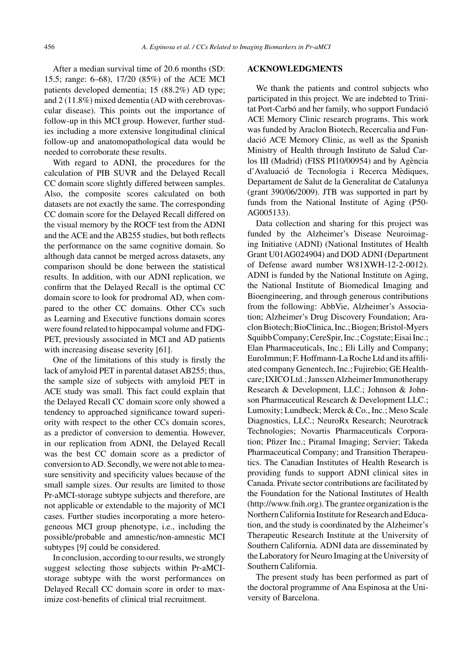After a median survival time of 20.6 months (SD: 15.5; range: 6–68), 17/20 (85%) of the ACE MCI patients developed dementia; 15 (88.2%) AD type; and 2 (11.8%) mixed dementia (AD with cerebrovascular disease). This points out the importance of follow-up in this MCI group. However, further studies including a more extensive longitudinal clinical follow-up and anatomopathological data would be needed to corroborate these results.

With regard to ADNI, the procedures for the calculation of PIB SUVR and the Delayed Recall CC domain score slightly differed between samples. Also, the composite scores calculated on both datasets are not exactly the same. The corresponding CC domain score for the Delayed Recall differed on the visual memory by the ROCF test from the ADNI and the ACE and the AB255 studies, but both reflects the performance on the same cognitive domain. So although data cannot be merged across datasets, any comparison should be done between the statistical results. In addition, with our ADNI replication, we confirm that the Delayed Recall is the optimal CC domain score to look for prodromal AD, when compared to the other CC domains. Other CCs such as Learning and Executive functions domain scores were found related to hippocampal volume and FDG-PET, previously associated in MCI and AD patients with increasing disease severity [61].

One of the limitations of this study is firstly the lack of amyloid PET in parental dataset AB255; thus, the sample size of subjects with amyloid PET in ACE study was small. This fact could explain that the Delayed Recall CC domain score only showed a tendency to approached significance toward superiority with respect to the other CCs domain scores, as a predictor of conversion to dementia. However, in our replication from ADNI, the Delayed Recall was the best CC domain score as a predictor of conversion to AD. Secondly, we were not able to measure sensitivity and specificity values because of the small sample sizes. Our results are limited to those Pr-aMCI-storage subtype subjects and therefore, are not applicable or extendable to the majority of MCI cases. Further studies incorporating a more heterogeneous MCI group phenotype, i.e., including the possible/probable and amnestic/non-amnestic MCI subtypes [9] could be considered.

In conclusion, according to our results, we strongly suggest selecting those subjects within Pr-aMCIstorage subtype with the worst performances on Delayed Recall CC domain score in order to maximize cost-benefits of clinical trial recruitment.

#### **ACKNOWLEDGMENTS**

We thank the patients and control subjects who participated in this project. We are indebted to Trinitat Port-Carbó and her family, who support Fundació ACE Memory Clinic research programs. This work was funded by Araclon Biotech, Recercalia and Fundacio ACE Memory Clinic, as well as the Spanish ´ Ministry of Health through Instituto de Salud Carlos III (Madrid) (FISS PI10/00954) and by Agència d'Avaluació de Tecnologia i Recerca Mèdiques, Departament de Salut de la Generalitat de Catalunya (grant 390/06/2009). JTB was supported in part by funds from the National Institute of Aging (P50- AG005133).

Data collection and sharing for this project was funded by the Alzheimer's Disease Neuroimaging Initiative (ADNI) (National Institutes of Health Grant U01AG024904) and DOD ADNI (Department of Defense award number W81XWH-12-2-0012). ADNI is funded by the National Institute on Aging, the National Institute of Biomedical Imaging and Bioengineering, and through generous contributions from the following: AbbVie, Alzheimer's Association; Alzheimer's Drug Discovery Foundation; Araclon Biotech; BioClinica, Inc.; Biogen; Bristol-Myers Squibb Company; CereSpir, Inc.; Cogstate; Eisai Inc.; Elan Pharmaceuticals, Inc.; Eli Lilly and Company; EuroImmun; F. Hoffmann-La Roche Ltd and its affiliated company Genentech, Inc.; Fujirebio; GE Healthcare; IXICO Ltd.; Janssen Alzheimer Immunotherapy Research & Development, LLC.; Johnson & Johnson Pharmaceutical Research & Development LLC.; Lumosity; Lundbeck; Merck & Co., Inc.; Meso Scale Diagnostics, LLC.; NeuroRx Research; Neurotrack Technologies; Novartis Pharmaceuticals Corporation; Pfizer Inc.; Piramal Imaging; Servier; Takeda Pharmaceutical Company; and Transition Therapeutics. The Canadian Institutes of Health Research is providing funds to support ADNI clinical sites in Canada. Private sector contributions are facilitated by the Foundation for the National Institutes of Health [\(http://www.fnih.org](http://www.fnih.org)). The grantee organization is the Northern California Institute for Research and Education, and the study is coordinated by the Alzheimer's Therapeutic Research Institute at the University of Southern California. ADNI data are disseminated by the Laboratory for Neuro Imaging at the University of Southern California.

The present study has been performed as part of the doctoral programme of Ana Espinosa at the University of Barcelona.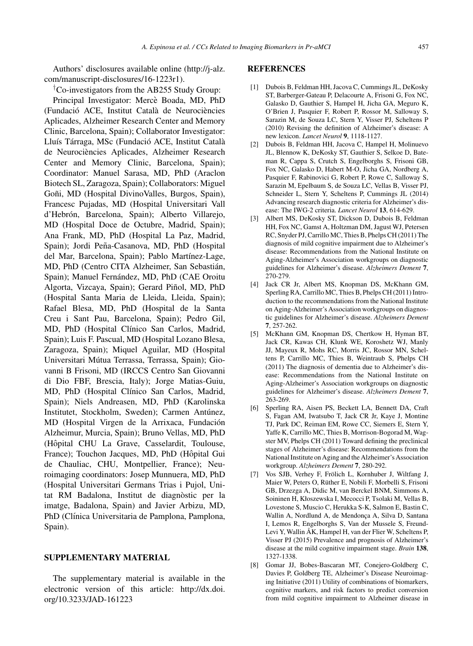Authors' disclosures available online [\(http://j-alz.](http://j-alz.com/manuscript-disclosures/16-1223r1) [com/manuscript-disclosures/16-1223r1](http://j-alz.com/manuscript-disclosures/16-1223r1)).

†Co-investigators from the AB255 Study Group:

Principal Investigator: Mercè Boada, MD, PhD (Fundació ACE, Institut Català de Neurociències Aplicades, Alzheimer Research Center and Memory Clinic, Barcelona, Spain); Collaborator Investigator: Lluís Tárraga, MSc (Fundació ACE, Institut Català de Neurociències Aplicades, Alzheimer Research Center and Memory Clinic, Barcelona, Spain); Coordinator: Manuel Sarasa, MD, PhD (Araclon Biotech SL, Zaragoza, Spain); Collaborators: Miguel Goñi, MD (Hospital DivinoValles, Burgos, Spain), Francesc Pujadas, MD (Hospital Universitari Vall d'Hebrón, Barcelona, Spain); Alberto Villarejo, MD (Hospital Doce de Octubre, Madrid, Spain); Ana Frank, MD, PhD (Hospital La Paz, Madrid, Spain); Jordi Peña-Casanova, MD, PhD (Hospital del Mar, Barcelona, Spain); Pablo Martínez-Lage, MD, PhD (Centro CITA Alzheimer, San Sebastian, ´ Spain); Manuel Fernández, MD, PhD (CAE Oroitu Algorta, Vizcaya, Spain); Gerard Piñol, MD, PhD (Hospital Santa Maria de Lleida, Lleida, Spain); Rafael Blesa, MD, PhD (Hospital de la Santa Creu i Sant Pau, Barcelona, Spain); Pedro Gil, MD, PhD (Hospital Clínico San Carlos, Madrid, Spain); Luis F. Pascual, MD (Hospital Lozano Blesa, Zaragoza, Spain); Miquel Aguilar, MD (Hospital Universitari Mútua Terrassa, Terrassa, Spain); Giovanni B Frisoni, MD (IRCCS Centro San Giovanni di Dio FBF, Brescia, Italy); Jorge Matias-Guiu, MD, PhD (Hospital Clínico San Carlos, Madrid, Spain); Niels Andreasen, MD, PhD (Karolinska Institutet, Stockholm, Sweden); Carmen Antúnez, MD (Hospital Virgen de la Arrixaca, Fundación Alzheimur, Murcia, Spain); Bruno Vellas, MD, PhD (Hôpital CHU La Grave, Casselardit, Toulouse, France); Touchon Jacques, MD, PhD (Hôpital Gui de Chauliac, CHU, Montpellier, France); Neuroimaging coordinators: Josep Munnuera, MD, PhD (Hospital Universitari Germans Trias i Pujol, Unitat RM Badalona, Institut de diagnòstic per la imatge, Badalona, Spain) and Javier Arbizu, MD, PhD (Clínica Universitaria de Pamplona, Pamplona, Spain).

#### **SUPPLEMENTARY MATERIAL**

The supplementary material is available in the electronic version of this article: [http://dx.doi.](http://dx.doi.org/10.3233/JAD-161223) [org/10.3233/JAD-161223](http://dx.doi.org/10.3233/JAD-161223)

#### **REFERENCES**

- [1] Dubois B, Feldman HH, Jacova C, Cummings JL, DeKosky ST, Barberger-Gateau P, Delacourte A, Frisoni G, Fox NC, Galasko D, Gauthier S, Hampel H, Jicha GA, Meguro K, O'Brien J, Pasquier F, Robert P, Rossor M, Salloway S, Sarazin M, de Souza LC, Stern Y, Visser PJ, Scheltens P (2010) Revising the definition of Alzheimer's disease: A new lexicon. *Lancet Neurol* **9**, 1118-1127.
- [2] Dubois B, Feldman HH, Jacova C, Hampel H, Molinuevo JL, Blennow K, DeKosky ST, Gauthier S, Selkoe D, Bateman R, Cappa S, Crutch S, Engelborghs S, Frisoni GB, Fox NC, Galasko D, Habert M-O, Jicha GA, Nordberg A, Pasquier F, Rabinovici G, Robert P, Rowe C, Salloway S, Sarazin M, Epelbaum S, de Souza LC, Vellas B, Visser PJ, Schneider L, Stern Y, Scheltens P, Cummings JL (2014) Advancing research diagnostic criteria for Alzheimer's disease: The IWG-2 criteria. *Lancet Neurol* **13**, 614-629.
- [3] Albert MS, DeKosky ST, Dickson D, Dubois B, Feldman HH, Fox NC, Gamst A, Holtzman DM, Jagust WJ, Petersen RC, Snyder PJ, Carrillo MC, Thies B, Phelps CH (2011) The diagnosis of mild cognitive impairment due to Alzheimer's disease: Recommendations from the National Institute on Aging-Alzheimer's Association workgroups on diagnostic guidelines for Alzheimer's disease. *Alzheimers Dement* **7**, 270-279.
- [4] Jack CR Jr, Albert MS, Knopman DS, McKhann GM, Sperling RA, Carrillo MC, Thies B, Phelps CH (2011) Introduction to the recommendations from the National Institute on Aging-Alzheimer's Association workgroups on diagnostic guidelines for Alzheimer's disease. *Alzheimers Dement* **7**, 257-262.
- [5] McKhann GM, Knopman DS, Chertkow H, Hyman BT, Jack CR, Kawas CH, Klunk WE, Koroshetz WJ, Manly JJ, Mayeux R, Mohs RC, Morris JC, Rossor MN, Scheltens P, Carrillo MC, Thies B, Weintraub S, Phelps CH (2011) The diagnosis of dementia due to Alzheimer's disease: Recommendations from the National Institute on Aging-Alzheimer's Association workgroups on diagnostic guidelines for Alzheimer's disease. *Alzheimers Dement* **7**, 263-269.
- [6] Sperling RA, Aisen PS, Beckett LA, Bennett DA, Craft S, Fagan AM, Iwatsubo T, Jack CR Jr, Kaye J, Montine TJ, Park DC, Reiman EM, Rowe CC, Siemers E, Stern Y, Yaffe K, Carrillo MC, Thies B, Morrison-Bogorad M, Wagster MV, Phelps CH (2011) Toward defining the preclinical stages of Alzheimer's disease: Recommendations from the National Institute on Aging and the Alzheimer's Association workgroup. *Alzheimers Dement* **7**, 280-292.
- [7] Vos SJB, Verhey F, Frölich L, Kornhuber J, Wiltfang J, Maier W, Peters O, Rüther E, Nobili F, Morbelli S, Frisoni GB, Drzezga A, Didic M, van Berckel BNM, Simmons A, Soininen H, Kłoszewska I, Mecocci P, Tsolaki M, Vellas B, Lovestone S, Muscio C, Herukka S-K, Salmon E, Bastin C, Wallin A, Nordlund A, de Mendonça A, Silva D, Santana I, Lemos R, Engelborghs S, Van der Mussele S, Freund-Levi Y, Wallin ÅK, Hampel H, van der Flier W, Scheltens P, Visser PJ (2015) Prevalence and prognosis of Alzheimer's disease at the mild cognitive impairment stage. *Brain* **138**, 1327-1338.
- [8] Gomar JJ, Bobes-Bascaran MT, Conejero-Goldberg C, Davies P, Goldberg TE, Alzheimer's Disease Neuroimaging Initiative (2011) Utility of combinations of biomarkers, cognitive markers, and risk factors to predict conversion from mild cognitive impairment to Alzheimer disease in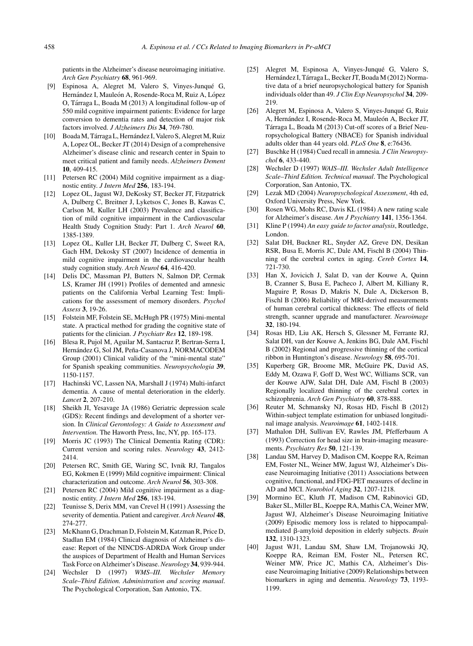patients in the Alzheimer's disease neuroimaging initiative. *Arch Gen Psychiatry* **68**, 961-969.

- [9] Espinosa A, Alegret M, Valero S, Vinyes-Junqué G, Hernández I, Mauleón A, Rosende-Roca M, Ruiz A, López O, Tarraga L, Boada M (2013) A longitudinal follow-up of ´ 550 mild cognitive impairment patients: Evidence for large conversion to dementia rates and detection of major risk factors involved. *J Alzheimers Dis* **34**, 769-780.
- [10] Boada M, Tárraga L, Hernández I, Valero S, Alegret M, Ruiz A, Lopez OL, Becker JT (2014) Design of a comprehensive Alzheimer's disease clinic and research center in Spain to meet critical patient and family needs. *Alzheimers Dement* **10**, 409-415.
- [11] Petersen RC (2004) Mild cognitive impairment as a diagnostic entity. *J Intern Med* **256**, 183-194.
- [12] Lopez OL, Jagust WJ, DeKosky ST, Becker JT, Fitzpatrick A, Dulberg C, Breitner J, Lyketsos C, Jones B, Kawas C, Carlson M, Kuller LH (2003) Prevalence and classification of mild cognitive impairment in the Cardiovascular Health Study Cognition Study: Part 1. *Arch Neurol* **60**, 1385-1389.
- [13] Lopez OL, Kuller LH, Becker JT, Dulberg C, Sweet RA, Gach HM, Dekosky ST (2007) Incidence of dementia in mild cognitive impairment in the cardiovascular health study cognition study. *Arch Neurol* **64**, 416-420.
- [14] Delis DC, Massman PJ, Butters N, Salmon DP, Cermak LS, Kramer JH (1991) Profiles of demented and amnesic patients on the California Verbal Learning Test: Implications for the assessment of memory disorders. *Psychol Assess* **3**, 19-26.
- [15] Folstein MF, Folstein SE, McHugh PR (1975) Mini-mental state. A practical method for grading the cognitive state of patients for the clinician. *J Psychiatr Res* **12**, 189-198.
- [16] Blesa R, Pujol M, Aguilar M, Santacruz P, Bertran-Serra I, Hernández G, Sol JM, Peña-Casanova J, NORMACODEM Group (2001) Clinical validity of the "mini-mental state" for Spanish speaking communities. *Neuropsychologia* **39**, 1150-1157.
- [17] Hachinski VC, Lassen NA, Marshall J (1974) Multi-infarct dementia. A cause of mental deterioration in the elderly. *Lancet* **2**, 207-210.
- [18] Sheikh JI, Yesavage JA (1986) Geriatric depression scale (GDS): Recent findings and development of a shorter version. In *Clinical Gerontology: A Guide to Assessment and Intervention.* The Haworth Press, Inc, NY, pp. 165-173.
- [19] Morris JC (1993) The Clinical Dementia Rating (CDR): Current version and scoring rules. *Neurology* **43**, 2412- 2414.
- [20] Petersen RC, Smith GE, Waring SC, Ivnik RJ, Tangalos EG, Kokmen E (1999) Mild cognitive impairment: Clinical characterization and outcome. *Arch Neurol* **56**, 303-308.
- [21] Petersen RC (2004) Mild cognitive impairment as a diagnostic entity. *J Intern Med* **256**, 183-194.
- [22] Teunisse S, Derix MM, van Crevel H (1991) Assessing the severity of dementia. Patient and caregiver. *Arch Neurol* **48**, 274-277.
- [23] McKhann G, Drachman D, Folstein M, Katzman R, Price D, Stadlan EM (1984) Clinical diagnosis of Alzheimer's disease: Report of the NINCDS-ADRDA Work Group under the auspices of Department of Health and Human Services Task Force on Alzheimer's Disease.*Neurology* **34**, 939-944.
- [24] Wechsler D (1997) *WMS–III. Wechsler Memory Scale–Third Edition. Administration and scoring manual*. The Psychological Corporation, San Antonio, TX.
- [25] Alegret M, Espinosa A, Vinyes-Junqué G, Valero S, Hernández I, Tárraga L, Becker JT, Boada M (2012) Normative data of a brief neuropsychological battery for Spanish individuals older than 49. *J Clin Exp Neuropsychol* **34**, 209- 219.
- [26] Alegret M, Espinosa A, Valero S, Vinyes-Junqué G, Ruiz A, Hernández I, Rosende-Roca M, Mauleón A, Becker JT, Tárraga L, Boada M (2013) Cut-off scores of a Brief Neuropsychological Battery (NBACE) for Spanish individual adults older than 44 years old. *PLoS One* **8**, e:76436.
- [27] Buschke H (1984) Cued recall in amnesia. *J Clin Neuropsychol* **6**, 433-440.
- [28] Wechsler D (1997) *WAIS–III. Wechsler Adult Intelligence Scale–Third Edition. Technical manual*. The Psychological Corporation, San Antonio, TX.
- [29] Lezak MD (2004) *Neuropsychological Assessment*, 4th ed, Oxford University Press, New York.
- [30] Rosen WG, Mohs RC, Davis KL (1984) A new rating scale for Alzheimer's disease. *Am J Psychiatry* **141**, 1356-1364.
- [31] Kline P (1994) *An easy guide to factor analysis*, Routledge, London.
- [32] Salat DH, Buckner RL, Snyder AZ, Greve DN, Desikan RSR, Busa E, Morris JC, Dale AM, Fischl B (2004) Thinning of the cerebral cortex in aging. *Cereb Cortex* **14**, 721-730.
- [33] Han X, Jovicich J, Salat D, van der Kouwe A, Quinn B, Czanner S, Busa E, Pacheco J, Albert M, Killiany R, Maguire P, Rosas D, Makris N, Dale A, Dickerson B, Fischl B (2006) Reliability of MRI-derived measurements of human cerebral cortical thickness: The effects of field strength, scanner upgrade and manufacturer. *Neuroimage* **32**, 180-194.
- [34] Rosas HD, Liu AK, Hersch S, Glessner M, Ferrante RJ, Salat DH, van der Kouwe A, Jenkins BG, Dale AM, Fischl B (2002) Regional and progressive thinning of the cortical ribbon in Huntington's disease. *Neurology* **58**, 695-701.
- [35] Kuperberg GR, Broome MR, McGuire PK, David AS, Eddy M, Ozawa F, Goff D, West WC, Williams SCR, van der Kouwe AJW, Salat DH, Dale AM, Fischl B (2003) Regionally localized thinning of the cerebral cortex in schizophrenia. *Arch Gen Psychiatry* **60**, 878-888.
- [36] Reuter M, Schmansky NJ, Rosas HD, Fischl B (2012) Within-subject template estimation for unbiased longitudinal image analysis. *Neuroimage* **61**, 1402-1418.
- [37] Mathalon DH, Sullivan EV, Rawles JM, Pfefferbaum A (1993) Correction for head size in brain-imaging measurements. *Psychiatry Res* **50**, 121-139.
- [38] Landau SM, Harvey D, Madison CM, Koeppe RA, Reiman EM, Foster NL, Weiner MW, Jagust WJ, Alzheimer's Disease Neuroimaging Initiative (2011) Associations between cognitive, functional, and FDG-PET measures of decline in AD and MCI. *Neurobiol Aging* **32**, 1207-1218.
- [39] Mormino EC, Kluth JT, Madison CM, Rabinovici GD, Baker SL, Miller BL, Koeppe RA, Mathis CA, Weiner MW, Jagust WJ, Alzheimer's Disease Neuroimaging Initiative (2009) Episodic memory loss is related to hippocampalmediated  $\beta$ -amyloid deposition in elderly subjects. *Brain* **132**, 1310-1323.
- [40] Jagust WJ1, Landau SM, Shaw LM, Trojanowski JQ, Koeppe RA, Reiman EM, Foster NL, Petersen RC, Weiner MW, Price JC, Mathis CA, Alzheimer's Disease Neuroimaging Initiative (2009) Relationships between biomarkers in aging and dementia. *Neurology* **73**, 1193- 1199.